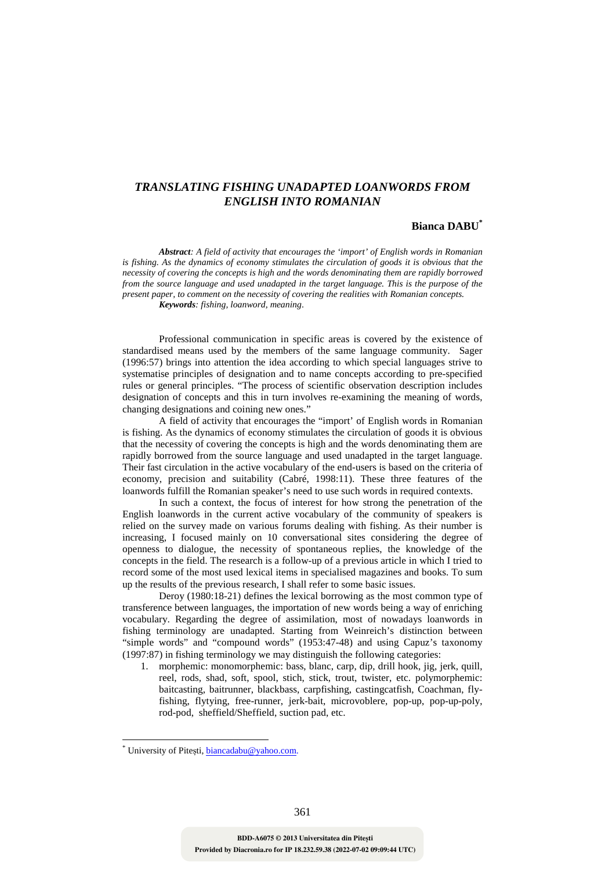# *TRANSLATING FISHING UNADAPTED LOANWORDS FROM ENGLISH INTO ROMANIAN*

### **Bianca DABU\***

*Abstract: A field of activity that encourages the 'import' of English words in Romanian is fishing. As the dynamics of economy stimulates the circulation of goods it is obvious that the necessity of covering the concepts is high and the words denominating them are rapidly borrowed from the source language and used unadapted in the target language. This is the purpose of the present paper, to comment on the necessity of covering the realities with Romanian concepts. Keywords: fishing, loanword, meaning*.

Professional communication in specific areas is covered by the existence of standardised means used by the members of the same language community. Sager (1996:57) brings into attention the idea according to which special languages strive to systematise principles of designation and to name concepts according to pre-specified rules or general principles. "The process of scientific observation description includes designation of concepts and this in turn involves re-examining the meaning of words, changing designations and coining new ones."

A field of activity that encourages the "import' of English words in Romanian is fishing. As the dynamics of economy stimulates the circulation of goods it is obvious that the necessity of covering the concepts is high and the words denominating them are rapidly borrowed from the source language and used unadapted in the target language. Their fast circulation in the active vocabulary of the end-users is based on the criteria of economy, precision and suitability (Cabré, 1998:11). These three features of the loanwords fulfill the Romanian speaker's need to use such words in required contexts.

 In such a context, the focus of interest for how strong the penetration of the English loanwords in the current active vocabulary of the community of speakers is relied on the survey made on various forums dealing with fishing. As their number is increasing, I focused mainly on 10 conversational sites considering the degree of openness to dialogue, the necessity of spontaneous replies, the knowledge of the concepts in the field. The research is a follow-up of a previous article in which I tried to record some of the most used lexical items in specialised magazines and books. To sum up the results of the previous research, I shall refer to some basic issues.

 Deroy (1980:18-21) defines the lexical borrowing as the most common type of transference between languages, the importation of new words being a way of enriching vocabulary. Regarding the degree of assimilation, most of nowadays loanwords in fishing terminology are unadapted. Starting from Weinreich's distinction between "simple words" and "compound words" (1953:47-48) and using Capuz's taxonomy (1997:87) in fishing terminology we may distinguish the following categories:

1. morphemic: monomorphemic: bass, blanc, carp, dip, drill hook, jig, jerk, quill, reel, rods, shad, soft, spool, stich, stick, trout, twister, etc. polymorphemic: baitcasting, baitrunner, blackbass, carpfishing, castingcatfish, Coachman, flyfishing, flytying, free-runner, jerk-bait, microvoblere, pop-up, pop-up-poly, rod-pod, sheffield/Sheffield, suction pad, etc.

 $\overline{a}$ 

<sup>\*</sup> University of Pitești, biancadabu@yahoo.com.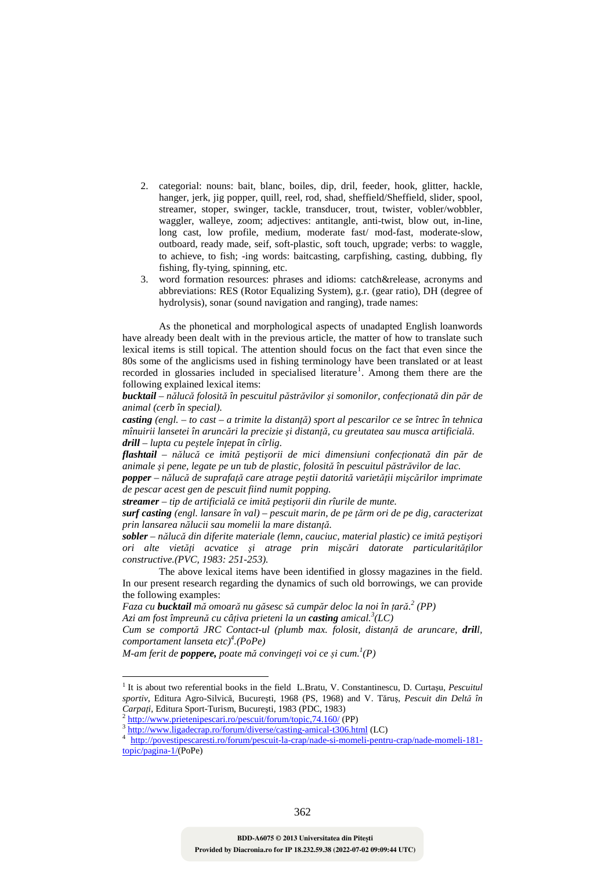- 2. categorial: nouns: bait, blanc, boiles, dip, dril, feeder, hook, glitter, hackle, hanger, jerk, jig popper, quill, reel, rod, shad, sheffield/Sheffield, slider, spool, streamer, stoper, swinger, tackle, transducer, trout, twister, vobler/wobbler, waggler, walleye, zoom; adjectives: antitangle, anti-twist, blow out, in-line, long cast, low profile, medium, moderate fast/ mod-fast, moderate-slow, outboard, ready made, seif, soft-plastic, soft touch, upgrade; verbs: to waggle, to achieve, to fish; -ing words: baitcasting, carpfishing, casting, dubbing, fly fishing, fly-tying, spinning, etc.
- 3. word formation resources: phrases and idioms: catch&release, acronyms and abbreviations: RES (Rotor Equalizing System), g.r. (gear ratio), DH (degree of hydrolysis), sonar (sound navigation and ranging), trade names:

 As the phonetical and morphological aspects of unadapted English loanwords have already been dealt with in the previous article, the matter of how to translate such lexical items is still topical. The attention should focus on the fact that even since the 80s some of the anglicisms used in fishing terminology have been translated or at least recorded in glossaries included in specialised literature<sup>1</sup>. Among them there are the following explained lexical items:

bucktail - nălucă folosită în pescuitul păstrăvilor și somonilor, confecționată din păr de *animal (cerb în special).* 

*casting (engl. – to cast – a trimite la distanţă) sport al pescarilor ce se întrec în tehnica mînuirii lansetei în aruncări la precizie şi distanţă, cu greutatea sau musca artificială. drill – lupta cu peştele înţepat în cîrlig.* 

*flashtail – nălucă ce imită peştişorii de mici dimensiuni confecţionată din păr de animale şi pene, legate pe un tub de plastic, folosită în pescuitul păstrăvilor de lac.* 

*popper – nălucă de suprafaţă care atrage peştii datorită varietăţii mişcărilor imprimate de pescar acest gen de pescuit fiind numit popping.*

*streamer – tip de artificială ce imită peştişorii din rîurile de munte.* 

*surf casting (engl. lansare în val) – pescuit marin, de pe ţărm ori de pe dig, caracterizat prin lansarea nălucii sau momelii la mare distanţă.* 

*sobler – nălucă din diferite materiale (lemn, cauciuc, material plastic) ce imită peştişori ori alte vietăţi acvatice şi atrage prin mişcări datorate particularităţilor constructive.(PVC, 1983: 251-253).* 

 The above lexical items have been identified in glossy magazines in the field. In our present research regarding the dynamics of such old borrowings, we can provide the following examples:

*Faza cu bucktail mă omoară nu găsesc să cumpăr deloc la noi în țară. 2 (PP)* 

*Azi am fost împreună cu câțiva prieteni la un casting amical.<sup>3</sup> (LC)* 

*Cum se comportă JRC Contact-ul (plumb max. folosit, distanță de aruncare, drill, comportament lanseta etc)<sup>4</sup> .(PoPe)* 

*M-am ferit de poppere, poate mă convingeți voi ce și cum.<sup>1</sup> (P)* 

http://www.prietenipescari.ro/pescuit/forum/topic,74.160/ (PP)

 1 It is about two referential books in the field L.Bratu, V. Constantinescu, D. Curtaşu, *Pescuitul sportiv*, Editura Agro-Silvică, Bucureşti, 1968 (PS, 1968) and V. Tăruş, *Pescuit din Deltă în Carpați*, Editura Sport-Turism, București, 1983 (PDC, 1983)<br><sup>2</sup> http://www.pristanipescari.ro/pescuit/forum/topic 74,160/(K

<sup>3</sup> http://www.ligadecrap.ro/forum/diverse/casting-amical-t306.html (LC)

<sup>4</sup> http://povestipescaresti.ro/forum/pescuit-la-crap/nade-si-momeli-pentru-crap/nade-momeli-181 topic/pagina-1/(PoPe)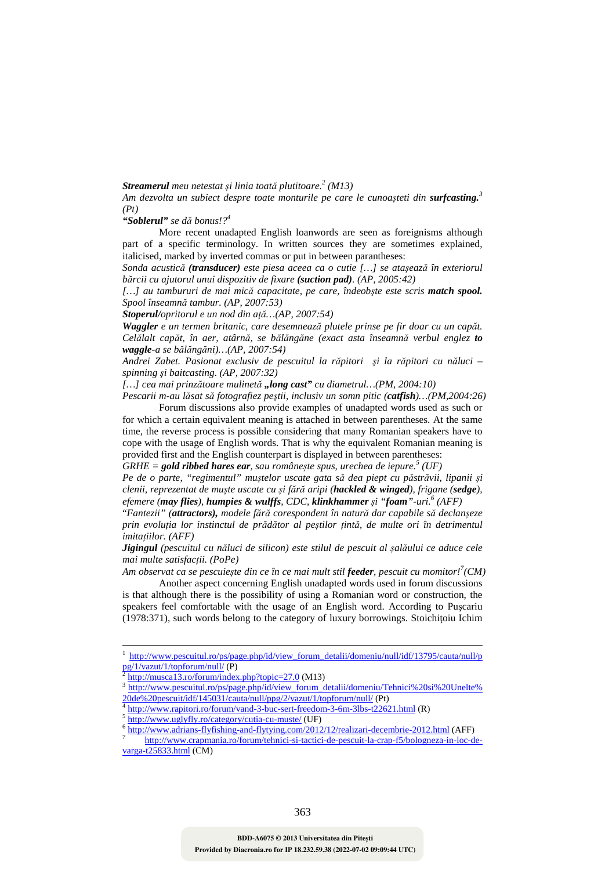## *Streamerul meu netestat și linia toată plutitoare.<sup>2</sup> (M13)*

*Am dezvolta un subiect despre toate monturile pe care le cunoașteti din surfcasting.<sup>3</sup> (Pt)* 

### *"Soblerul" se dă bonus!?<sup>4</sup>*

 More recent unadapted English loanwords are seen as foreignisms although part of a specific terminology. In written sources they are sometimes explained, italicised, marked by inverted commas or put in between parantheses:

*Sonda acustică (transducer) este piesa aceea ca o cutie […] se ataşează în exteriorul bărcii cu ajutorul unui dispozitiv de fixare (suction pad). (AP, 2005:42)* 

*[…] au tambururi de mai mică capacitate, pe care, îndeobşte este scris match spool. Spool înseamnă tambur. (AP, 2007:53)* 

*Stoperul/opritorul e un nod din aţă…(AP, 2007:54)* 

*Waggler e un termen britanic, care desemnează plutele prinse pe fir doar cu un capăt. Celălalt capăt, în aer, atârnă, se bălăngăne (exact asta înseamnă verbul englez to waggle-a se bălăngăni)…(AP, 2007:54)* 

*Andrei Zabet. Pasionat exclusiv de pescuitul la răpitori şi la răpitori cu năluci – spinning şi baitcasting. (AP, 2007:32)* 

*[…] cea mai prinzătoare mulinetă "long cast" cu diametrul…(PM, 2004:10)* 

*Pescarii m-au lăsat să fotografiez peştii, inclusiv un somn pitic (catfish)…(PM,2004:26)*  Forum discussions also provide examples of unadapted words used as such or for which a certain equivalent meaning is attached in between parentheses. At the same time, the reverse process is possible considering that many Romanian speakers have to cope with the usage of English words. That is why the equivalent Romanian meaning is provided first and the English counterpart is displayed in between parentheses:

*GRHE = gold ribbed hares ear, sau românește spus, urechea de iepure.<sup>5</sup> (UF)* 

*Pe de o parte, "regimentul" muștelor uscate gata să dea piept cu păstrăvii, lipanii și clenii, reprezentat de muște uscate cu și fără aripi (hackled & winged), frigane (sedge), efemere (may flies), humpies & wulffs, CDC, klinkhammer și "foam"-uri.<sup>6</sup> (AFF)* 

"*Fantezii" (attractors), modele fără corespondent în natură dar capabile să declanșeze prin evoluția lor instinctul de prădător al peștilor țintă, de multe ori în detrimentul imitațiilor. (AFF)* 

*Jigingul (pescuitul cu năluci de silicon) este stilul de pescuit al șalăului ce aduce cele mai multe satisfacții. (PoPe)* 

*Am observat ca se pescuiește din ce în ce mai mult stil feeder, pescuit cu momitor!<sup>7</sup> (CM)*  Another aspect concerning English unadapted words used in forum discussions is that although there is the possibility of using a Romanian word or construction, the speakers feel comfortable with the usage of an English word. According to Puşcariu  $(1978:371)$ , such words belong to the category of luxury borrowings. Stoichitoiu Ichim

 $\overline{a}$ 

<sup>1</sup> http://www.pescuitul.ro/ps/page.php/id/view\_forum\_detalii/domeniu/null/idf/13795/cauta/null/p pg/1/vazut/1/topforum/null/ (P)

<sup>2</sup> http://musca13.ro/forum/index.php?topic=27.0 (M13)

<sup>3</sup> http://www.pescuitul.ro/ps/page.php/id/view\_forum\_detalii/domeniu/Tehnici%20si%20Unelte% 20de%20pescuit/idf/145031/cauta/null/ppg/2/vazut/1/topforum/null/ (Pt)

<sup>4</sup> http://www.rapitori.ro/forum/vand-3-buc-sert-freedom-3-6m-3lbs-t22621.html (R)

<sup>5</sup> http://www.uglyfly.ro/category/cutia-cu-muste/ (UF)

<sup>6</sup> http://www.adrians-flyfishing-and-flytying.com/2012/12/realizari-decembrie-2012.html (AFF)

<sup>7</sup> http://www.crapmania.ro/forum/tehnici-si-tactici-de-pescuit-la-crap-f5/bologneza-in-loc-devarga-t25833.html (CM)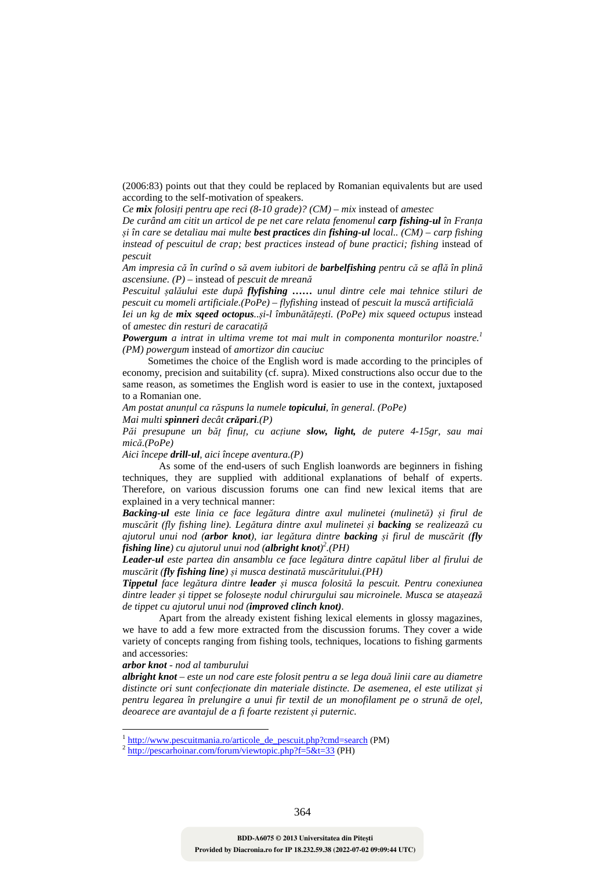(2006:83) points out that they could be replaced by Romanian equivalents but are used according to the self-motivation of speakers.

*Ce mix folosiți pentru ape reci (8-10 grade)? (CM) – mix* instead of *amestec* 

*De curând am citit un articol de pe net care relata fenomenul carp fishing-ul în Franța și în care se detaliau mai multe best practices din fishing-ul local.. (CM) – carp fishing instead of pescuitul de crap; best practices instead of bune practici; fishing instead of pescuit* 

*Am impresia că în curînd o să avem iubitori de barbelfishing pentru că se află în plină ascensiune. (P) –* instead of *pescuit de mreană*

*Pescuitul șalăului este după flyfishing …… unul dintre cele mai tehnice stiluri de pescuit cu momeli artificiale.(PoPe) – flyfishing* instead of *pescuit la muscă artificială*

*Iei un kg de mix sqeed octopus..și-l îmbunătățești. (PoPe) mix squeed octupus* instead of *amestec din resturi de caracatiță*

*Powergum a intrat in ultima vreme tot mai mult in componenta monturilor noastre.<sup>1</sup> (PM) powergum* instead of *amortizor din cauciuc* 

 Sometimes the choice of the English word is made according to the principles of economy, precision and suitability (cf. supra). Mixed constructions also occur due to the same reason, as sometimes the English word is easier to use in the context, juxtaposed to a Romanian one.

*Am postat anunțul ca răspuns la numele topicului, în general. (PoPe) Mai multi spinneri decât crăpari.(P)* 

*Păi presupune un băț finuț, cu acțiune slow, light, de putere 4-15gr, sau mai mică.(PoPe)* 

*Aici începe drill-ul, aici începe aventura.(P)* 

 As some of the end-users of such English loanwords are beginners in fishing techniques, they are supplied with additional explanations of behalf of experts. Therefore, on various discussion forums one can find new lexical items that are explained in a very technical manner:

*Backing-ul este linia ce face legătura dintre axul mulinetei (mulinetă) și firul de muscărit (fly fishing line). Legătura dintre axul mulinetei și backing se realizează cu ajutorul unui nod (arbor knot), iar legătura dintre backing și firul de muscărit (fly fishing line) cu ajutorul unui nod (albright knot) 2 .(PH)* 

*Leader-ul este partea din ansamblu ce face legătura dintre capătul liber al firului de muscărit (fly fishing line) și musca destinată muscăritului.(PH)* 

*Tippetul face legătura dintre leader și musca folosită la pescuit. Pentru conexiunea dintre leader și tippet se folosește nodul chirurgului sau microinele. Musca se atașează de tippet cu ajutorul unui nod (improved clinch knot).* 

 Apart from the already existent fishing lexical elements in glossy magazines, we have to add a few more extracted from the discussion forums. They cover a wide variety of concepts ranging from fishing tools, techniques, locations to fishing garments and accessories:

### *arbor knot - nod al tamburului*

 $\overline{a}$ 

*albright knot – este un nod care este folosit pentru a se lega două linii care au diametre distincte ori sunt confecționate din materiale distincte. De asemenea, el este utilizat și pentru legarea în prelungire a unui fir textil de un monofilament pe o strună de oțel, deoarece are avantajul de a fi foarte rezistent și puternic.* 

<sup>1</sup> http://www.pescuitmania.ro/articole\_de\_pescuit.php?cmd=search (PM)

<sup>2</sup> http://pescarhoinar.com/forum/viewtopic.php?f=5&t=33 (PH)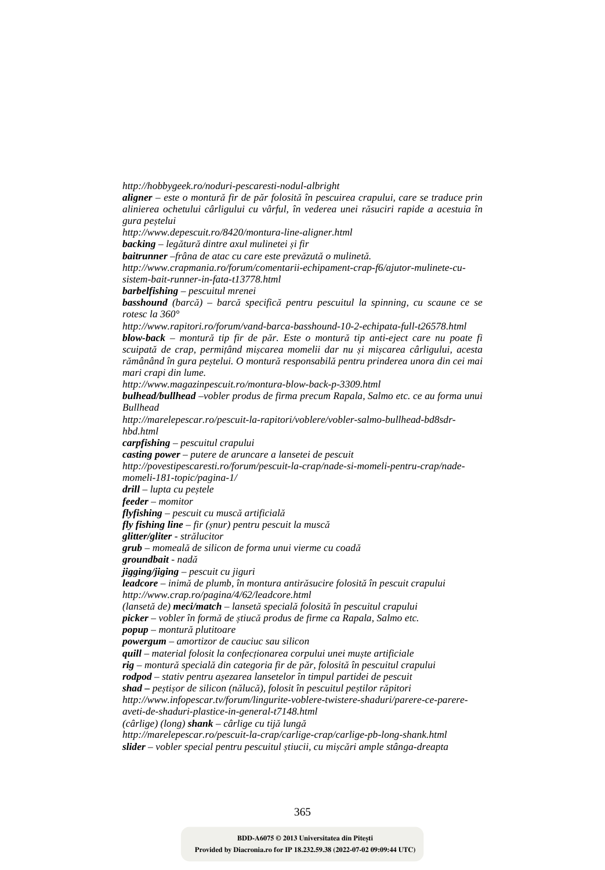*http://hobbygeek.ro/noduri-pescaresti-nodul-albright* 

*aligner – este o montură fir de păr folosită în pescuirea crapului, care se traduce prin alinierea ochetului cârligului cu vârful, în vederea unei răsuciri rapide a acestuia în gura peștelui* 

*http://www.depescuit.ro/8420/montura-line-aligner.html* 

*backing – legătură dintre axul mulinetei și fir* 

*baitrunner –frâna de atac cu care este prevăzută o mulinetă.* 

*http://www.crapmania.ro/forum/comentarii-echipament-crap-f6/ajutor-mulinete-cusistem-bait-runner-in-fata-t13778.html* 

*barbelfishing – pescuitul mrenei* 

*basshound (barcă) – barcă specifică pentru pescuitul la spinning, cu scaune ce se rotesc la 360°* 

*http://www.rapitori.ro/forum/vand-barca-basshound-10-2-echipata-full-t26578.html* 

*blow-back – montură tip fir de păr. Este o montură tip anti-eject care nu poate fi scuipată de crap, permițând mișcarea momelii dar nu și mișcarea cârligului, acesta rămânând în gura peștelui. O montură responsabilă pentru prinderea unora din cei mai mari crapi din lume.* 

*http://www.magazinpescuit.ro/montura-blow-back-p-3309.html* 

*bulhead/bullhead –vobler produs de firma precum Rapala, Salmo etc. ce au forma unui Bullhead* 

*http://marelepescar.ro/pescuit-la-rapitori/voblere/vobler-salmo-bullhead-bd8sdrhbd.html* 

*carpfishing – pescuitul crapului* 

*casting power – putere de aruncare a lansetei de pescuit* 

*http://povestipescaresti.ro/forum/pescuit-la-crap/nade-si-momeli-pentru-crap/nade-*

*momeli-181-topic/pagina-1/* 

*drill – lupta cu peștele* 

*feeder – momitor* 

*flyfishing – pescuit cu muscă artificială*

*fly fishing line – fir (șnur) pentru pescuit la muscă* 

*glitter/gliter - strălucitor* 

*grub – momeală de silicon de forma unui vierme cu coadă groundbait - nadă*

*jigging/jiging – pescuit cu jiguri* 

*leadcore – inimă de plumb, în montura antirăsucire folosită în pescuit crapului http://www.crap.ro/pagina/4/62/leadcore.html* 

*(lansetă de) meci/match – lansetă specială folosită în pescuitul crapului picker – vobler în formă de știucă produs de firme ca Rapala, Salmo etc.* 

*popup – montură plutitoare* 

*powergum – amortizor de cauciuc sau silicon* 

*quill – material folosit la confecționarea corpului unei muște artificiale rig – montură specială din categoria fir de păr, folosită în pescuitul crapului rodpod – stativ pentru așezarea lansetelor în timpul partidei de pescuit* 

*shad – peștișor de silicon (nălucă), folosit în pescuitul peștilor răpitori* 

*http://www.infopescar.tv/forum/lingurite-voblere-twistere-shaduri/parere-ce-parere-*

*aveti-de-shaduri-plastice-in-general-t7148.html* 

*(cârlige) (long) shank – cârlige cu tijă lungă*

*http://marelepescar.ro/pescuit-la-crap/carlige-crap/carlige-pb-long-shank.html slider – vobler special pentru pescuitul știucii, cu mișcări ample stânga-dreapta*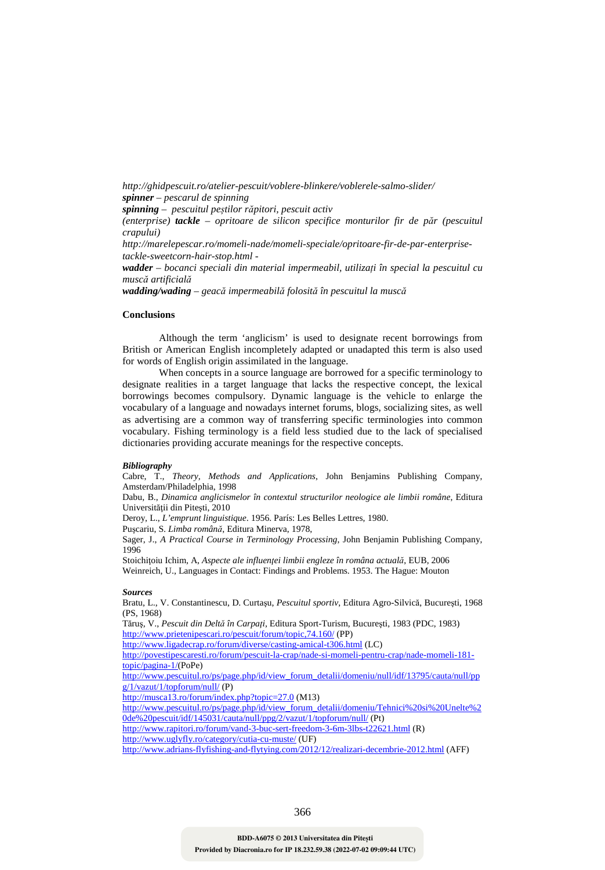*http://ghidpescuit.ro/atelier-pescuit/voblere-blinkere/voblerele-salmo-slider/ spinner – pescarul de spinning* 

*spinning – pescuitul peștilor răpitori, pescuit activ* 

*(enterprise) tackle – opritoare de silicon specifice monturilor fir de păr (pescuitul crapului)* 

*http://marelepescar.ro/momeli-nade/momeli-speciale/opritoare-fir-de-par-enterprisetackle-sweetcorn-hair-stop.html -* 

*wadder – bocanci speciali din material impermeabil, utilizați în special la pescuitul cu muscă artificială*

*wadding/wading – geacă impermeabilă folosită în pescuitul la muscă* 

#### **Conclusions**

 Although the term 'anglicism' is used to designate recent borrowings from British or American English incompletely adapted or unadapted this term is also used for words of English origin assimilated in the language.

 When concepts in a source language are borrowed for a specific terminology to designate realities in a target language that lacks the respective concept, the lexical borrowings becomes compulsory. Dynamic language is the vehicle to enlarge the vocabulary of a language and nowadays internet forums, blogs, socializing sites, as well as advertising are a common way of transferring specific terminologies into common vocabulary. Fishing terminology is a field less studied due to the lack of specialised dictionaries providing accurate meanings for the respective concepts.

#### *Bibliography*

Cabre, T., *Theory, Methods and Applications*, John Benjamins Publishing Company, Amsterdam/Philadelphia, 1998

Dabu, B., *Dinamica anglicismelor în contextul structurilor neologice ale limbii române*, Editura Universității din Pitești, 2010

Deroy, L., *L'emprunt linguistique*. 1956. París: Les Belles Lettres, 1980.

Puşcariu, S. *Limba română*, Editura Minerva, 1978,

Sager, J., *A Practical Course in Terminology Processing*, John Benjamin Publishing Company, 1996

Stoichiţoiu Ichim, A, *Aspecte ale influenţei limbii engleze în româna actuală*, EUB, 2006 Weinreich, U., Languages in Contact: Findings and Problems. 1953. The Hague: Mouton

#### *Sources*

Bratu, L., V. Constantinescu, D. Curtaşu, *Pescuitul sportiv*, Editura Agro-Silvică, Bucureşti, 1968 (PS, 1968)

Tăruş, V., *Pescuit din Deltă în Carpaţi*, Editura Sport-Turism, Bucureşti, 1983 (PDC, 1983) http://www.prietenipescari.ro/pescuit/forum/topic,74.160/ (PP)

http://www.ligadecrap.ro/forum/diverse/casting-amical-t306.html (LC)

http://povestipescaresti.ro/forum/pescuit-la-crap/nade-si-momeli-pentru-crap/nade-momeli-181 topic/pagina-1/(PoPe)

http://www.pescuitul.ro/ps/page.php/id/view\_forum\_detalii/domeniu/null/idf/13795/cauta/null/pp g/1/vazut/1/topforum/null/ (P)

http://musca13.ro/forum/index.php?topic=27.0 (M13)

http://www.pescuitul.ro/ps/page.php/id/view\_forum\_detalii/domeniu/Tehnici%20si%20Unelte%2 0de%20pescuit/idf/145031/cauta/null/ppg/2/vazut/1/topforum/null/ (Pt)

http://www.rapitori.ro/forum/vand-3-buc-sert-freedom-3-6m-3lbs-t22621.html (R) http://www.uglyfly.ro/category/cutia-cu-muste/ (UF)

http://www.adrians-flyfishing-and-flytying.com/2012/12/realizari-decembrie-2012.html (AFF)